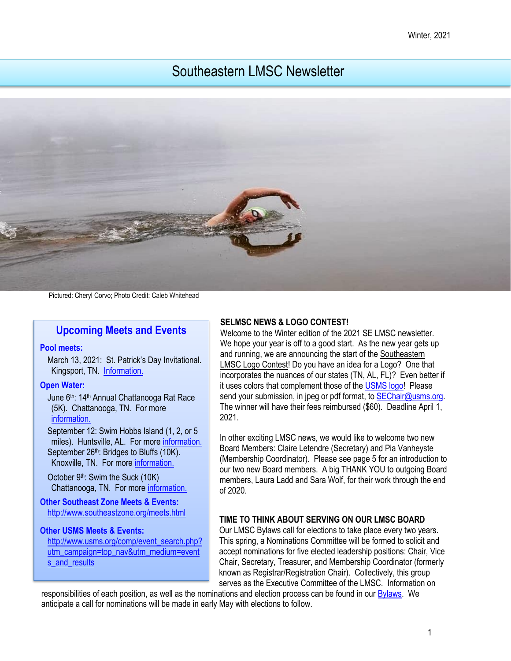# Southeastern LMSC Newsletter



Pictured: Cheryl Corvo; Photo Credit: Caleb Whitehead

# **Upcoming Meets and Events**

#### **Pool meets:**

March 13, 2021: St. Patrick's Day Invitational. Kingsport, TN. [Information.](https://www.swimkingsport.com/masters-swim-team/)

#### **Open Water:**

June 6<sup>th</sup>: 14<sup>th</sup> Annual Chattanooga Rat Race (5K). Chattanooga, TN. For more [information.](https://chattanoogaswimfest.org/) 

September 12: Swim Hobbs Island (1, 2, or 5) miles). Huntsville, AL. For more [information.](https://www.usms.org/events/events/swim-hobbs-island-2020?ID=8490) September 26<sup>th</sup>: Bridges to Bluffs (10K). Knoxville, TN. For more [information.](https://knoxvilleopen-waterswimmers.squarespace.com/new-page) 

October 9th: Swim the Suck (10K) Chattanooga, TN. For more [information.](http://www.swimthesuck.org/)

**Other Southeast Zone Meets & Events:**  <http://www.southeastzone.org/meets.html>

#### **Other USMS Meets & Events:**

[http://www.usms.org/comp/event\\_search.php?](http://www.usms.org/comp/event_search.php?utm_campaign=top_nav&utm_medium=events_and_results) [utm\\_campaign=top\\_nav&utm\\_medium=event](http://www.usms.org/comp/event_search.php?utm_campaign=top_nav&utm_medium=events_and_results) [s\\_and\\_results](http://www.usms.org/comp/event_search.php?utm_campaign=top_nav&utm_medium=events_and_results)

#### **SELMSC NEWS & LOGO CONTEST!**

Welcome to the Winter edition of the 2021 SE LMSC newsletter. We hope your year is off to a good start. As the new year gets up and running, we are announcing the start of the Southeastern LMSC Logo Contest! Do you have an idea for a Logo? One that incorporates the nuances of our states (TN, AL, FL)? Even better if it uses colors that complement those of th[e USMS logo!](https://www.usms.org/logos/content/standardlogos) Please send your submission, in jpeg or pdf format, to [SEChair@usms.org.](mailto:SEChair@usms.org) The winner will have their fees reimbursed (\$60). Deadline April 1, 2021.

In other exciting LMSC news, we would like to welcome two new Board Members: Claire Letendre (Secretary) and Pia Vanheyste (Membership Coordinator). Please see page 5 for an introduction to our two new Board members. A big THANK YOU to outgoing Board members, Laura Ladd and Sara Wolf, for their work through the end of 2020.

## **TIME TO THINK ABOUT SERVING ON OUR LMSC BOARD**

Our LMSC Bylaws call for elections to take place every two years. This spring, a Nominations Committee will be formed to solicit and accept nominations for five elected leadership positions: Chair, Vice Chair, Secretary, Treasurer, and Membership Coordinator (formerly known as Registrar/Registration Chair). Collectively, this group serves as the Executive Committee of the LMSC. Information on

responsibilities of each position, as well as the nominations and election process can be found in ou[r Bylaws.](https://www.clubassistant.com/c/5129A5D/file/Bylaws/BYLAWS%20-%2011_20_16.pdf) We anticipate a call for nominations will be made in early May with elections to follow.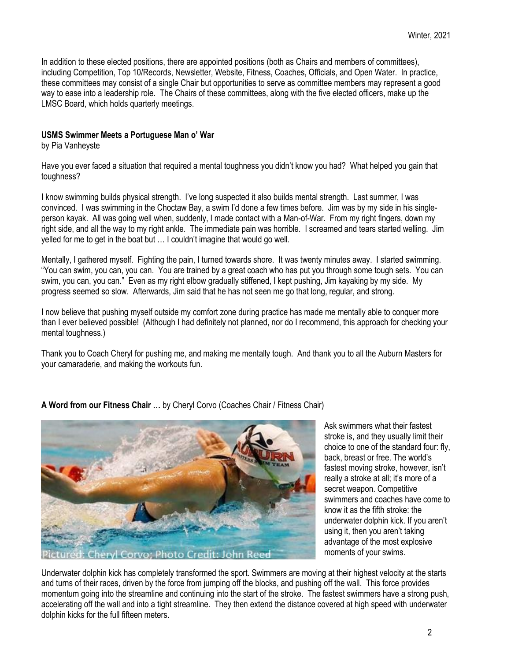In addition to these elected positions, there are appointed positions (both as Chairs and members of committees), including Competition, Top 10/Records, Newsletter, Website, Fitness, Coaches, Officials, and Open Water. In practice, these committees may consist of a single Chair but opportunities to serve as committee members may represent a good way to ease into a leadership role. The Chairs of these committees, along with the five elected officers, make up the LMSC Board, which holds quarterly meetings.

## **USMS Swimmer Meets a Portuguese Man o' War**

by Pia Vanheyste

Have you ever faced a situation that required a mental toughness you didn't know you had? What helped you gain that toughness?

I know swimming builds physical strength. I've long suspected it also builds mental strength. Last summer, I was convinced. I was swimming in the Choctaw Bay, a swim I'd done a few times before. Jim was by my side in his singleperson kayak. All was going well when, suddenly, I made contact with a Man-of-War. From my right fingers, down my right side, and all the way to my right ankle. The immediate pain was horrible. I screamed and tears started welling. Jim yelled for me to get in the boat but … I couldn't imagine that would go well.

Mentally, I gathered myself. Fighting the pain, I turned towards shore. It was twenty minutes away. I started swimming. "You can swim, you can, you can. You are trained by a great coach who has put you through some tough sets. You can swim, you can, you can." Even as my right elbow gradually stiffened, I kept pushing, Jim kayaking by my side. My progress seemed so slow. Afterwards, Jim said that he has not seen me go that long, regular, and strong.

I now believe that pushing myself outside my comfort zone during practice has made me mentally able to conquer more than I ever believed possible! (Although I had definitely not planned, nor do I recommend, this approach for checking your mental toughness.)

Thank you to Coach Cheryl for pushing me, and making me mentally tough. And thank you to all the Auburn Masters for your camaraderie, and making the workouts fun.

**A Word from our Fitness Chair …** by Cheryl Corvo (Coaches Chair / Fitness Chair)



Ask swimmers what their fastest stroke is, and they usually limit their choice to one of the standard four: fly, back, breast or free. The world's fastest moving stroke, however, isn't really a stroke at all; it's more of a secret weapon. Competitive swimmers and coaches have come to know it as the fifth stroke: the underwater dolphin kick. If you aren't using it, then you aren't taking advantage of the most explosive moments of your swims.

Underwater dolphin kick has completely transformed the sport. Swimmers are moving at their highest velocity at the starts and turns of their races, driven by the force from jumping off the blocks, and pushing off the wall. This force provides momentum going into the streamline and continuing into the start of the stroke. The fastest swimmers have a strong push, accelerating off the wall and into a tight streamline. They then extend the distance covered at high speed with underwater dolphin kicks for the full fifteen meters.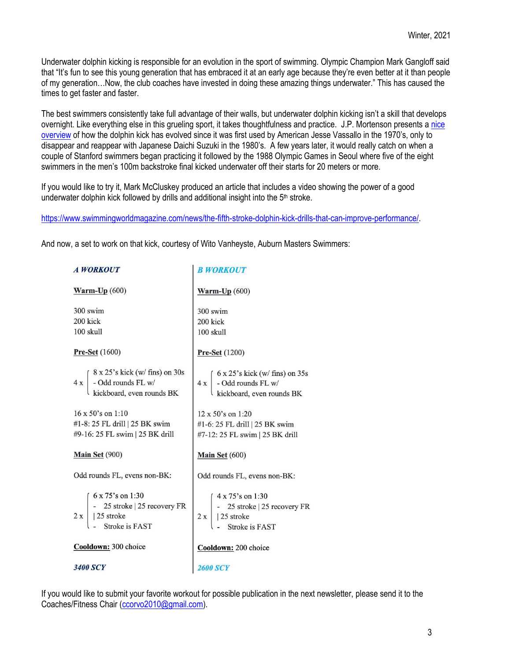Underwater dolphin kicking is responsible for an evolution in the sport of swimming. Olympic Champion Mark Gangloff said that "It's fun to see this young generation that has embraced it at an early age because they're even better at it than people of my generation…Now, the club coaches have invested in doing these amazing things underwater." This has caused the times to get faster and faster.

The best swimmers consistently take full advantage of their walls, but underwater dolphin kicking isn't a skill that develops overnight. Like everything else in this grueling sport, it takes thoughtfulness and practice. J.P. Mortenson presents [a nice](https://www.swimmingworldmagazine.com/news/the-history-of-the-underwater-dolphin-kick/)  [overview](https://www.swimmingworldmagazine.com/news/the-history-of-the-underwater-dolphin-kick/) of how the dolphin kick has evolved since it was first used by American Jesse Vassallo in the 1970's, only to disappear and reappear with Japanese Daichi Suzuki in the 1980's. A few years later, it would really catch on when a couple of Stanford swimmers began practicing it followed by the 1988 Olympic Games in Seoul where five of the eight swimmers in the men's 100m backstroke final kicked underwater off their starts for 20 meters or more.

If you would like to try it, Mark McCluskey produced an article that includes a video showing the power of a good underwater dolphin kick followed by drills and additional insight into the 5<sup>th</sup> stroke.

[https://www.swimmingworldmagazine.com/news/the-fifth-stroke-dolphin-kick-drills-that-can-improve-performance/.](https://linkprotect.cudasvc.com/url?a=https%3a%2f%2fwww.swimmingworldmagazine.com%2fnews%2fthe-fifth-stroke-dolphin-kick-drills-that-can-improve-performance%2f&c=E,1,nhY489nepl4uoKbXyoo6Tv6V5EAFzxg9RG3JlFRSeUmvk10CTlRdxydCeaiHlt8gdM_tsF-QkhTdIu5zRdy61muqfOOqOlifL9huy9yZ4Sjz3vDn8YKRM3l67KjS&typo=1)

And now, a set to work on that kick, courtesy of Wito Vanheyste, Auburn Masters Swimmers:

| <b>A WORKOUT</b>                                                                                                                                                 | <b>B WORKOUT</b>                                                                                                                                                    |
|------------------------------------------------------------------------------------------------------------------------------------------------------------------|---------------------------------------------------------------------------------------------------------------------------------------------------------------------|
| Warm- $Up(600)$                                                                                                                                                  | Warm- $Up(600)$                                                                                                                                                     |
| 300 swim<br>200 kick<br>100 skull                                                                                                                                | 300 swim<br>200 kick<br>100 skull                                                                                                                                   |
| <b>Pre-Set</b> $(1600)$                                                                                                                                          | <b>Pre-Set</b> (1200)                                                                                                                                               |
| $4 \times \begin{cases} 8 \times 25' s \text{ kick (w/ fins) on 30s} \\ - \text{Odd rounds FL w/} \\ \text{kickboard, even rounds BK} \end{cases}$               | $4 \times \left( \begin{array}{l} 6 \times 25' \text{s kick (w/ fins) on 35s} \\ - \text{Odd rounds FL w/} \\ \text{kickboard, even rounds BK} \end{array} \right)$ |
| 16 x 50's on 1:10<br>#1-8: 25 FL drill   25 BK swim<br>#9-16: 25 FL swim   25 BK drill                                                                           | 12 x 50's on 1:20<br>#1-6: 25 FL drill   25 BK swim<br>#7-12: 25 FL swim   25 BK drill                                                                              |
| <b>Main Set (900)</b>                                                                                                                                            | Main Set (600)                                                                                                                                                      |
| Odd rounds FL, evens non-BK:                                                                                                                                     | Odd rounds FL, evens non-BK:                                                                                                                                        |
| $2 x \begin{cases} 6 \times 75 \text{'s on 1:30} \\ - 25 \text{ stroke} \mid 25 \text{ recovery FR} \\ 25 \text{ stroke} \\ - \text{Stroke is FAST} \end{cases}$ | $2 x \begin{cases} 4 \times 75\text{'s on 1:30} \\ - 25 \text{ stroke}   25 \text{ recovery FR} \\   25 \text{ stroke} \\ - \text{Stroke is FAST} \end{cases}$      |
| Cooldown: 300 choice                                                                                                                                             | Cooldown: 200 choice                                                                                                                                                |
| <b>3400 SCY</b>                                                                                                                                                  |                                                                                                                                                                     |

If you would like to submit your favorite workout for possible publication in the next newsletter, please send it to the Coaches/Fitness Chair [\(ccorvo2010@gmail.com\)](mailto:ccorvo2010@gmail.com).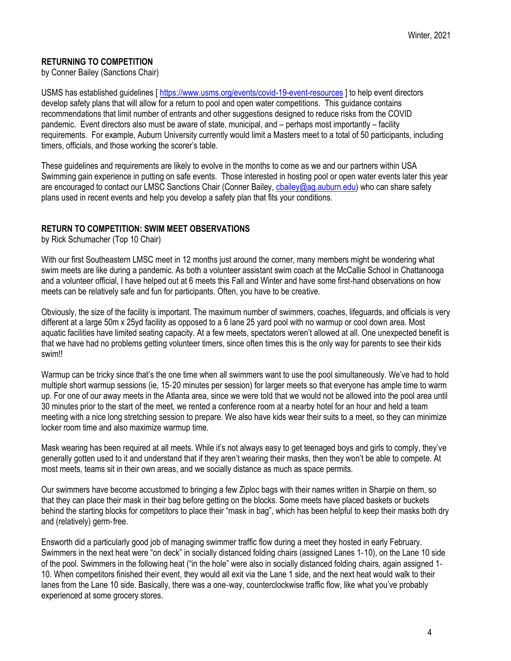# **RETURNING TO COMPETITION**

by Conner Bailey (Sanctions Chair)

USMS has established guidelines [\[ https://www.usms.org/events/covid-19-event-resources](https://linkprotect.cudasvc.com/url?a=https%3a%2f%2fwww.usms.org%2fevents%2fcovid-19-event-resources&c=E,1,UwL-pTXPeMlgRTUT2x_KOeBQuO4IqQpqHjFqve4QBG6dKhZygF_LFjw9vVhOIWbrIOjPvG8ao-Msk5RUHWZf2Y_5hEVeqN9Md2V2XNrTcpNX7OJ8WtoIf3lFjA,,&typo=1) ] to help event directors develop safety plans that will allow for a return to pool and open water competitions. This guidance contains recommendations that limit number of entrants and other suggestions designed to reduce risks from the COVID pandemic. Event directors also must be aware of state, municipal, and – perhaps most importantly – facility requirements. For example, Auburn University currently would limit a Masters meet to a total of 50 participants, including timers, officials, and those working the scorer's table.

These guidelines and requirements are likely to evolve in the months to come as we and our partners within USA Swimming gain experience in putting on safe events. Those interested in hosting pool or open water events later this year are encouraged to contact our LMSC Sanctions Chair (Conner Bailey, chailey@ag.auburn.edu) who can share safety plans used in recent events and help you develop a safety plan that fits your conditions.

## **RETURN TO COMPETITION: SWIM MEET OBSERVATIONS**

by Rick Schumacher (Top 10 Chair)

With our first Southeastern LMSC meet in 12 months just around the corner, many members might be wondering what swim meets are like during a pandemic. As both a volunteer assistant swim coach at the McCallie School in Chattanooga and a volunteer official, I have helped out at 6 meets this Fall and Winter and have some first-hand observations on how meets can be relatively safe and fun for participants. Often, you have to be creative.

Obviously, the size of the facility is important. The maximum number of swimmers, coaches, lifeguards, and officials is very different at a large 50m x 25yd facility as opposed to a 6 lane 25 yard pool with no warmup or cool down area. Most aquatic facilities have limited seating capacity. At a few meets, spectators weren't allowed at all. One unexpected benefit is that we have had no problems getting volunteer timers, since often times this is the only way for parents to see their kids swim!!

Warmup can be tricky since that's the one time when all swimmers want to use the pool simultaneously. We've had to hold multiple short warmup sessions (ie, 15‐20 minutes per session) for larger meets so that everyone has ample time to warm up. For one of our away meets in the Atlanta area, since we were told that we would not be allowed into the pool area until 30 minutes prior to the start of the meet, we rented a conference room at a nearby hotel for an hour and held a team meeting with a nice long stretching session to prepare. We also have kids wear their suits to a meet, so they can minimize locker room time and also maximize warmup time.

Mask wearing has been required at all meets. While it's not always easy to get teenaged boys and girls to comply, they've generally gotten used to it and understand that if they aren't wearing their masks, then they won't be able to compete. At most meets, teams sit in their own areas, and we socially distance as much as space permits.

Our swimmers have become accustomed to bringing a few Ziploc bags with their names written in Sharpie on them, so that they can place their mask in their bag before getting on the blocks. Some meets have placed baskets or buckets behind the starting blocks for competitors to place their "mask in bag", which has been helpful to keep their masks both dry and (relatively) germ‐free.

Ensworth did a particularly good job of managing swimmer traffic flow during a meet they hosted in early February. Swimmers in the next heat were "on deck" in socially distanced folding chairs (assigned Lanes 1‐10), on the Lane 10 side of the pool. Swimmers in the following heat ("in the hole" were also in socially distanced folding chairs, again assigned 1‐ 10. When competitors finished their event, they would all exit via the Lane 1 side, and the next heat would walk to their lanes from the Lane 10 side. Basically, there was a one‐way, counterclockwise traffic flow, like what you've probably experienced at some grocery stores.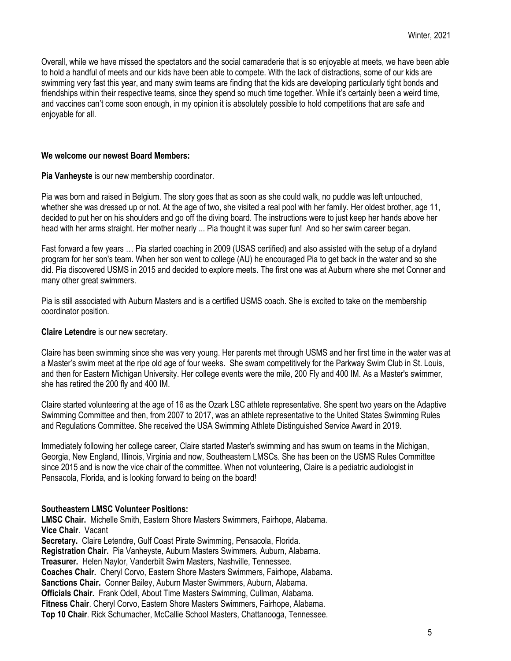Overall, while we have missed the spectators and the social camaraderie that is so enjoyable at meets, we have been able to hold a handful of meets and our kids have been able to compete. With the lack of distractions, some of our kids are swimming very fast this year, and many swim teams are finding that the kids are developing particularly tight bonds and friendships within their respective teams, since they spend so much time together. While it's certainly been a weird time, and vaccines can't come soon enough, in my opinion it is absolutely possible to hold competitions that are safe and enjoyable for all.

#### **We welcome our newest Board Members:**

**Pia Vanheyste** is our new membership coordinator.

Pia was born and raised in Belgium. The story goes that as soon as she could walk, no puddle was left untouched, whether she was dressed up or not. At the age of two, she visited a real pool with her family. Her oldest brother, age 11, decided to put her on his shoulders and go off the diving board. The instructions were to just keep her hands above her head with her arms straight. Her mother nearly ... Pia thought it was super fun! And so her swim career began.

Fast forward a few years … Pia started coaching in 2009 (USAS certified) and also assisted with the setup of a dryland program for her son's team. When her son went to college (AU) he encouraged Pia to get back in the water and so she did. Pia discovered USMS in 2015 and decided to explore meets. The first one was at Auburn where she met Conner and many other great swimmers.

Pia is still associated with Auburn Masters and is a certified USMS coach. She is excited to take on the membership coordinator position.

#### **Claire Letendre** is our new secretary.

Claire has been swimming since she was very young. Her parents met through USMS and her first time in the water was at a Master's swim meet at the ripe old age of four weeks. She swam competitively for the Parkway Swim Club in St. Louis, and then for Eastern Michigan University. Her college events were the mile, 200 Fly and 400 IM. As a Master's swimmer, she has retired the 200 fly and 400 IM.

Claire started volunteering at the age of 16 as the Ozark LSC athlete representative. She spent two years on the Adaptive Swimming Committee and then, from 2007 to 2017, was an athlete representative to the United States Swimming Rules and Regulations Committee. She received the USA Swimming Athlete Distinguished Service Award in 2019.

Immediately following her college career, Claire started Master's swimming and has swum on teams in the Michigan, Georgia, New England, Illinois, Virginia and now, Southeastern LMSCs. She has been on the USMS Rules Committee since 2015 and is now the vice chair of the committee. When not volunteering, Claire is a pediatric audiologist in Pensacola, Florida, and is looking forward to being on the board!

## **Southeastern LMSC Volunteer Positions:**

**LMSC Chair.** Michelle Smith, Eastern Shore Masters Swimmers, Fairhope, Alabama. **Vice Chair**. Vacant **Secretary.** Claire Letendre, Gulf Coast Pirate Swimming, Pensacola, Florida. **Registration Chair.** Pia Vanheyste, Auburn Masters Swimmers, Auburn, Alabama. **Treasurer.** Helen Naylor, Vanderbilt Swim Masters, Nashville, Tennessee. **Coaches Chair.** Cheryl Corvo, Eastern Shore Masters Swimmers, Fairhope, Alabama. **Sanctions Chair.** Conner Bailey, Auburn Master Swimmers, Auburn, Alabama. **Officials Chair.** Frank Odell, About Time Masters Swimming, Cullman, Alabama. **Fitness Chair**. Cheryl Corvo, Eastern Shore Masters Swimmers, Fairhope, Alabama. **Top 10 Chair**. Rick Schumacher, McCallie School Masters, Chattanooga, Tennessee.